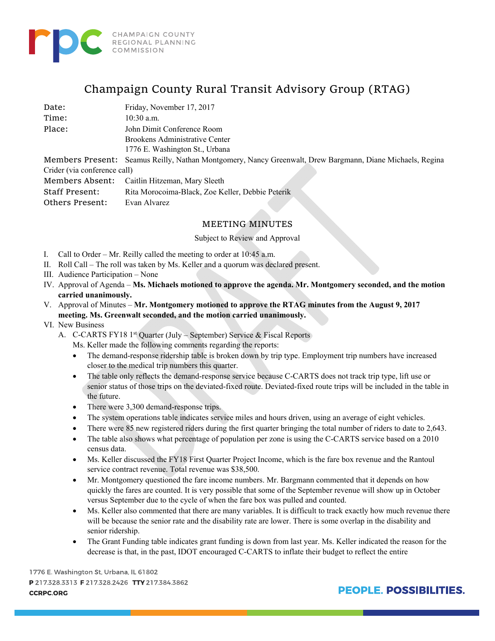

## Champaign County Rural Transit Advisory Group (RTAG)

Date: Friday, November 17, 2017

Time: 10:30 a.m. Place: John Dimit Conference Room Brookens Administrative Center 1776 E. Washington St., Urbana

Members Present: Seamus Reilly, Nathan Montgomery, Nancy Greenwalt, Drew Bargmann, Diane Michaels, Regina Crider (via conference call) Members Absent: Caitlin Hitzeman, Mary Sleeth

Staff Present: Rita Morocoima-Black, Zoe Keller, Debbie Peterik

Others Present: Evan Alvarez

## MEETING MINUTES

## Subject to Review and Approval

- I. Call to Order Mr. Reilly called the meeting to order at 10:45 a.m.
- II. Roll Call The roll was taken by Ms. Keller and a quorum was declared present.
- III. Audience Participation None
- IV. Approval of Agenda **Ms. Michaels motioned to approve the agenda. Mr. Montgomery seconded, and the motion carried unanimously.**
- V. Approval of Minutes **Mr. Montgomery motioned to approve the RTAG minutes from the August 9, 2017 meeting. Ms. Greenwalt seconded, and the motion carried unanimously.**
- VI. New Business
	- A. C-CARTS FY18 1<sup>st</sup> Quarter (July September) Service & Fiscal Reports
		- Ms. Keller made the following comments regarding the reports:
		- The demand-response ridership table is broken down by trip type. Employment trip numbers have increased closer to the medical trip numbers this quarter.
		- The table only reflects the demand-response service because C-CARTS does not track trip type, lift use or senior status of those trips on the deviated-fixed route. Deviated-fixed route trips will be included in the table in the future.
		- There were 3,300 demand-response trips.
		- The system operations table indicates service miles and hours driven, using an average of eight vehicles.
		- There were 85 new registered riders during the first quarter bringing the total number of riders to date to 2,643.
		- The table also shows what percentage of population per zone is using the C-CARTS service based on a 2010 census data.
		- Ms. Keller discussed the FY18 First Quarter Project Income, which is the fare box revenue and the Rantoul service contract revenue. Total revenue was \$38,500.
		- Mr. Montgomery questioned the fare income numbers. Mr. Bargmann commented that it depends on how quickly the fares are counted. It is very possible that some of the September revenue will show up in October versus September due to the cycle of when the fare box was pulled and counted.
		- Ms. Keller also commented that there are many variables. It is difficult to track exactly how much revenue there will be because the senior rate and the disability rate are lower. There is some overlap in the disability and senior ridership.
		- The Grant Funding table indicates grant funding is down from last year. Ms. Keller indicated the reason for the decrease is that, in the past, IDOT encouraged C-CARTS to inflate their budget to reflect the entire

1776 E. Washington St, Urbana, IL 61802 P 217.328.3313 F 217.328.2426 TTY 217.384.3862 **CCRPC.ORG** 

**PEOPLE, POSSIBILITIES.**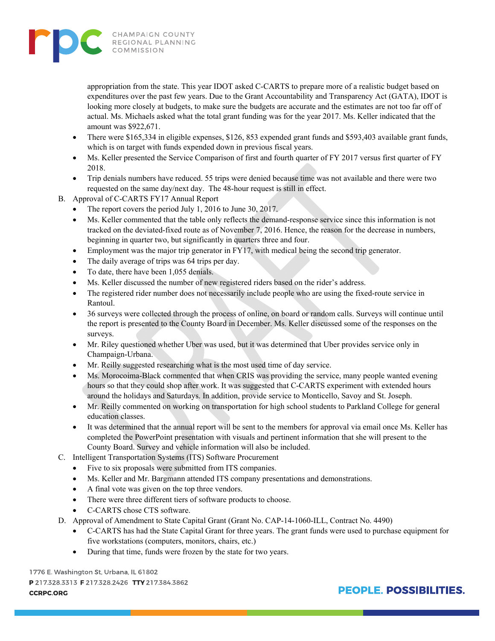

appropriation from the state. This year IDOT asked C-CARTS to prepare more of a realistic budget based on expenditures over the past few years. Due to the Grant Accountability and Transparency Act (GATA), IDOT is looking more closely at budgets, to make sure the budgets are accurate and the estimates are not too far off of actual. Ms. Michaels asked what the total grant funding was for the year 2017. Ms. Keller indicated that the amount was \$922,671.

- There were \$165,334 in eligible expenses, \$126, 853 expended grant funds and \$593,403 available grant funds, which is on target with funds expended down in previous fiscal years.
- Ms. Keller presented the Service Comparison of first and fourth quarter of FY 2017 versus first quarter of FY 2018.
- Trip denials numbers have reduced. 55 trips were denied because time was not available and there were two requested on the same day/next day. The 48-hour request is still in effect.
- B. Approval of C-CARTS FY17 Annual Report
	- The report covers the period July 1, 2016 to June 30, 2017.
	- Ms. Keller commented that the table only reflects the demand-response service since this information is not tracked on the deviated-fixed route as of November 7, 2016. Hence, the reason for the decrease in numbers, beginning in quarter two, but significantly in quarters three and four.
	- Employment was the major trip generator in FY17, with medical being the second trip generator.
	- The daily average of trips was 64 trips per day.
	- To date, there have been 1,055 denials.
	- Ms. Keller discussed the number of new registered riders based on the rider's address.
	- The registered rider number does not necessarily include people who are using the fixed-route service in Rantoul.
	- 36 surveys were collected through the process of online, on board or random calls. Surveys will continue until the report is presented to the County Board in December. Ms. Keller discussed some of the responses on the surveys.
	- Mr. Riley questioned whether Uber was used, but it was determined that Uber provides service only in Champaign-Urbana.
	- Mr. Reilly suggested researching what is the most used time of day service.
	- Ms. Morocoima-Black commented that when CRIS was providing the service, many people wanted evening hours so that they could shop after work. It was suggested that C-CARTS experiment with extended hours around the holidays and Saturdays. In addition, provide service to Monticello, Savoy and St. Joseph.
	- Mr. Reilly commented on working on transportation for high school students to Parkland College for general education classes.
	- It was determined that the annual report will be sent to the members for approval via email once Ms. Keller has completed the PowerPoint presentation with visuals and pertinent information that she will present to the County Board. Survey and vehicle information will also be included.
- C. Intelligent Transportation Systems (ITS) Software Procurement
	- Five to six proposals were submitted from ITS companies.
	- Ms. Keller and Mr. Bargmann attended ITS company presentations and demonstrations.
	- A final vote was given on the top three vendors.
	- There were three different tiers of software products to choose.
	- C-CARTS chose CTS software.
- D. Approval of Amendment to State Capital Grant (Grant No. CAP-14-1060-ILL, Contract No. 4490)
	- C-CARTS has had the State Capital Grant for three years. The grant funds were used to purchase equipment for five workstations (computers, monitors, chairs, etc.)
	- During that time, funds were frozen by the state for two years.

1776 E. Washington St, Urbana, IL 61802 P 217.328.3313 F 217.328.2426 TTY 217.384.3862 **CCRPC.ORG** 

## **PEOPLE, POSSIBILITIES.**